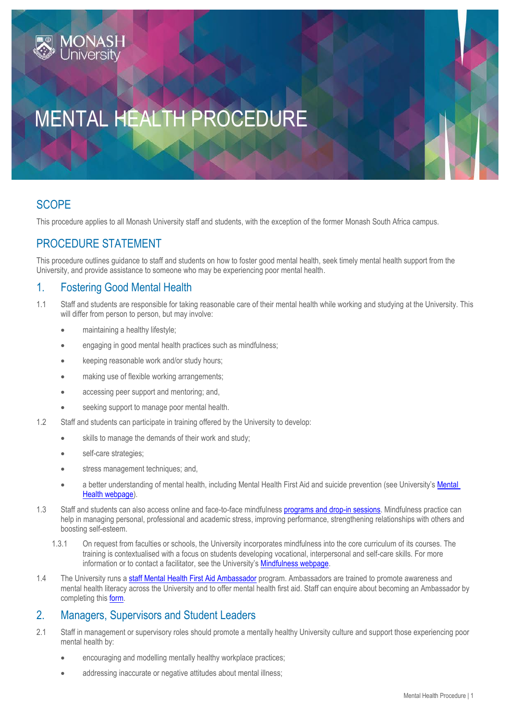# MENTAL HEALTH PROCEDURE

## **SCOPE**

This procedure applies to all Monash University staff and students, with the exception of the former Monash South Africa campus.

# PROCEDURE STATEMENT

This procedure outlines guidance to staff and students on how to foster good mental health, seek timely mental health support from the University, and provide assistance to someone who may be experiencing poor mental health.

## 1. Fostering Good Mental Health

- 1.1 Staff and students are responsible for taking reasonable care of their mental health while working and studying at the University. This will differ from person to person, but may involve:
	- maintaining a healthy lifestyle;
	- engaging in good mental health practices such as mindfulness;
	- **•** keeping reasonable work and/or study hours;
	- making use of flexible working arrangements;
	- accessing peer support and mentoring; and,
	- seeking support to manage poor mental health.
- 1.2 Staff and students can participate in training offered by the University to develop:
	- skills to manage the demands of their work and study;
	- self-care strategies;
	- stress management techniques; and,
	- a better understanding of mental health, including Mental Health First Aid and suicide prevention (see University's [Mental](https://www.monash.edu/health/mental-health/)  [Health webpage\)](https://www.monash.edu/health/mental-health/).
- 1.3 Staff and students can also access online and face-to-face mindfulnes[s programs and drop-in sessions.](https://www.monash.edu/health/mental-health/mindfulness/programs) Mindfulness practice can help in managing personal, professional and academic stress, improving performance, strengthening relationships with others and boosting self-esteem.
	- 1.3.1 On request from faculties or schools, the University incorporates mindfulness into the core curriculum of its courses. The training is contextualised with a focus on students developing vocational, interpersonal and self-care skills. For more information or to contact a facilitator, see the University's [Mindfulness webpage.](https://www.monash.edu/health/mental-health/mindfulness)
- 1.4 The University runs [a staff Mental Health First Aid Ambassador](https://www.monash.edu/health/mental-health/resources/ambassadors) program. Ambassadors are trained to promote awareness and mental health literacy across the University and to offer mental health first aid. Staff can enquire about becoming an Ambassador by completing this [form.](https://docs.google.com/forms/d/e/1FAIpQLSevX_4HAxYjde5ZY83gUNxSKmLgPo6LKsZn-RA_avZN7Lj08A/viewform)

## 2. Managers, Supervisors and Student Leaders

- 2.1 Staff in management or supervisory roles should promote a mentally healthy University culture and support those experiencing poor mental health by:
	- encouraging and modelling mentally healthy workplace practices;
	- addressing inaccurate or negative attitudes about mental illness;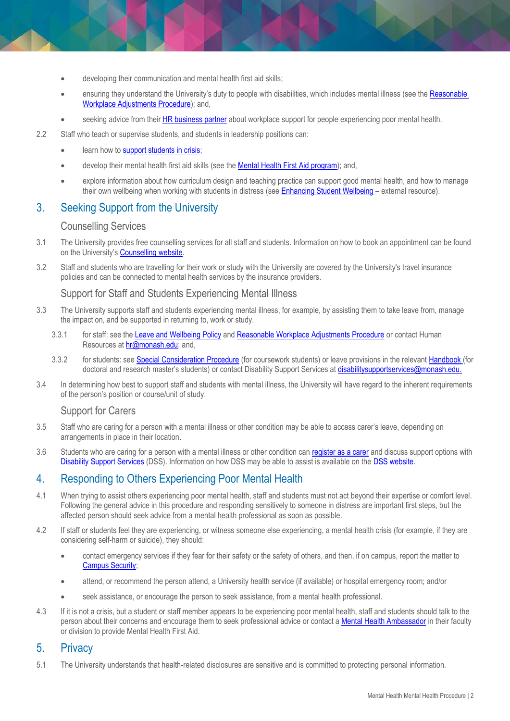- developing their communication and mental health first aid skills;
- ensuring they understand the University's duty to people with disabilities, which includes mental illness (see the [Reasonable](https://publicpolicydms.monash.edu/Monash/documents/1935727)  [Workplace Adjustments Procedure\)](https://publicpolicydms.monash.edu/Monash/documents/1935727); and,
- seeking advice from their [HR business partner](mailto:hr@monash.edu) about workplace support for people experiencing poor mental health.
- 2.2 Staff who teach or supervise students, and students in leadership positions can:
	- **e** learn how to **support students in crisis**;
	- develop their mental health first aid skills (see the [Mental Health First Aid program\)](https://www.monash.edu/health/mental-health/programs/mental-health-first-aid); and,
	- explore information about how curriculum design and teaching practice can support good mental health, and how to manage their own wellbeing when working with students in distress (se[e Enhancing Student Wellbeing](http://unistudentwellbeing.edu.au/) – external resource).

## 3. Seeking Support from the University

#### Counselling Services

- 3.1 The University provides free counselling services for all staff and students. Information on how to book an appointment can be found on the University's [Counselling website.](https://www.monash.edu/health/counselling)
- 3.2 Staff and students who are travelling for their work or study with the University are covered by the University's travel insurance policies and can be connected to mental health services by the insurance providers.

#### Support for Staff and Students Experiencing Mental Illness

- 3.3 The University supports staff and students experiencing mental illness, for example, by assisting them to take leave from, manage the impact on, and be supported in returning to, work or study.
	- 3.3.1 for staff: see the [Leave and Wellbeing](https://publicpolicydms.monash.edu/Monash/documents/1935704) Policy an[d Reasonable Workplace Adjustments Procedure](https://publicpolicydms.monash.edu/Monash/documents/1935727) or contact Human Resources at [hr@monash.edu;](mailto:hr@monash.edu) and,
	- 3.3.2 for students: se[e Special Consideration Procedure](https://publicpolicydms.monash.edu/Monash/documents/1935761) (for coursework students) or leave provisions in the relevant [Handbook](https://www.monash.edu/graduate-research/faqs-and-resources) (for doctoral and research master's students) or contact Disability Support Services a[t disabilitysupportservices@monash.edu.](mailto:disabilitysupportservices@monash.edu)
- 3.4 In determining how best to support staff and students with mental illness, the University will have regard to the inherent requirements of the person's position or course/unit of study.

#### Support for Carers

- 3.5 Staff who are caring for a person with a mental illness or other condition may be able to access carer's leave, depending on arrangements in place in their location.
- 3.6 Students who are caring for a person with a mental illness or other condition can [register as a carer](https://www.monash.edu/disability/services-for-students/carers) and discuss support options with [Disability Support Services](https://www.monash.edu/disability) (DSS). Information on how DSS may be able to assist is available on the DSS [website.](https://www.monash.edu/disability/services-for-students#tabs__1335666-02)

### 4. Responding to Others Experiencing Poor Mental Health

- 4.1 When trying to assist others experiencing poor mental health, staff and students must not act beyond their expertise or comfort level. Following the general advice in this procedure and responding sensitively to someone in distress are important first steps, but the affected person should seek advice from a mental health professional as soon as possible.
- 4.2 If staff or students feel they are experiencing, or witness someone else experiencing, a mental health crisis (for example, if they are considering self-harm or suicide), they should:
	- contact emergency services if they fear for their safety or the safety of others, and then, if on campus, report the matter to [Campus Security;](https://www.monash.edu/students/safety-security/security/contacts)
	- attend, or recommend the person attend, a University health service (if available) or hospital emergency room; and/or
	- seek assistance, or encourage the person to seek assistance, from a mental health professional.
- 4.3 If it is not a crisis, but a student or staff member appears to be experiencing poor mental health, staff and students should talk to the person about their concerns and encourage them to seek professional advice or contact a [Mental Health Ambassador](https://www.monash.edu/health/mental-health/resources/ambassadors) in their faculty or division to provide Mental Health First Aid.

## 5. Privacy

5.1 The University understands that health-related disclosures are sensitive and is committed to protecting personal information.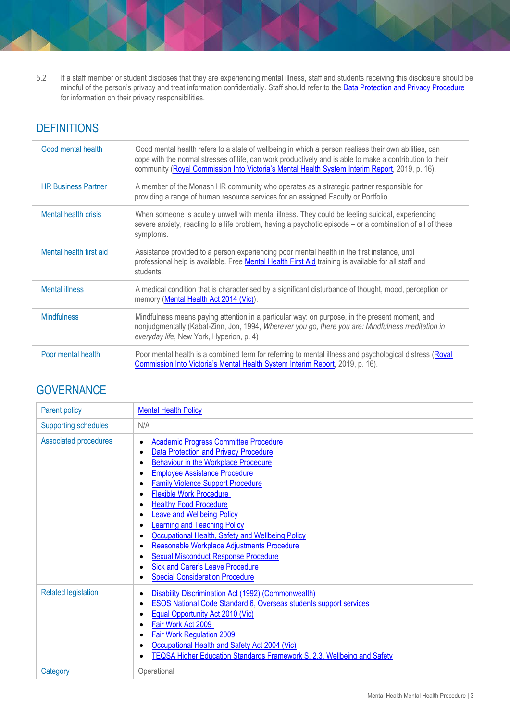5.2 If a staff member or student discloses that they are experiencing mental illness, staff and students receiving this disclosure should be mindful of the person's privacy and treat information confidentially. Staff should refer to the <u>Data Protection and Privacy Procedure</u> for information on their privacy responsibilities.

# **DEFINITIONS**

| Good mental health          | Good mental health refers to a state of wellbeing in which a person realises their own abilities, can<br>cope with the normal stresses of life, can work productively and is able to make a contribution to their<br>community (Royal Commission Into Victoria's Mental Health System Interim Report, 2019, p. 16). |
|-----------------------------|---------------------------------------------------------------------------------------------------------------------------------------------------------------------------------------------------------------------------------------------------------------------------------------------------------------------|
| <b>HR Business Partner</b>  | A member of the Monash HR community who operates as a strategic partner responsible for<br>providing a range of human resource services for an assigned Faculty or Portfolio.                                                                                                                                       |
| <b>Mental health crisis</b> | When someone is acutely unwell with mental illness. They could be feeling suicidal, experiencing<br>severe anxiety, reacting to a life problem, having a psychotic episode – or a combination of all of these<br>symptoms.                                                                                          |
| Mental health first aid     | Assistance provided to a person experiencing poor mental health in the first instance, until<br>professional help is available. Free Mental Health First Aid training is available for all staff and<br>students.                                                                                                   |
| <b>Mental illness</b>       | A medical condition that is characterised by a significant disturbance of thought, mood, perception or<br>memory (Mental Health Act 2014 (Vic)).                                                                                                                                                                    |
| <b>Mindfulness</b>          | Mindfulness means paying attention in a particular way: on purpose, in the present moment, and<br>nonjudgmentally (Kabat-Zinn, Jon, 1994, Wherever you go, there you are: Mindfulness meditation in<br>everyday life, New York, Hyperion, p. 4)                                                                     |
| Poor mental health          | Poor mental health is a combined term for referring to mental illness and psychological distress (Royal<br>Commission Into Victoria's Mental Health System Interim Report, 2019, p. 16).                                                                                                                            |

# **GOVERNANCE**

| Parent policy               | <b>Mental Health Policy</b>                                                                                                                                                                                                                                                                                                                                                                                                                                                                                                                                                                                   |
|-----------------------------|---------------------------------------------------------------------------------------------------------------------------------------------------------------------------------------------------------------------------------------------------------------------------------------------------------------------------------------------------------------------------------------------------------------------------------------------------------------------------------------------------------------------------------------------------------------------------------------------------------------|
| <b>Supporting schedules</b> | N/A                                                                                                                                                                                                                                                                                                                                                                                                                                                                                                                                                                                                           |
| Associated procedures       | <b>Academic Progress Committee Procedure</b><br><b>Data Protection and Privacy Procedure</b><br>Behaviour in the Workplace Procedure<br><b>Employee Assistance Procedure</b><br><b>Family Violence Support Procedure</b><br><b>Flexible Work Procedure</b><br><b>Healthy Food Procedure</b><br><b>Leave and Wellbeing Policy</b><br><b>Learning and Teaching Policy</b><br>Occupational Health, Safety and Wellbeing Policy<br>Reasonable Workplace Adjustments Procedure<br><b>Sexual Misconduct Response Procedure</b><br><b>Sick and Carer's Leave Procedure</b><br><b>Special Consideration Procedure</b> |
| <b>Related legislation</b>  | Disability Discrimination Act (1992) (Commonwealth)<br><b>ESOS National Code Standard 6, Overseas students support services</b><br>Equal Opportunity Act 2010 (Vic)<br>Fair Work Act 2009<br>Fair Work Regulation 2009<br>Occupational Health and Safety Act 2004 (Vic)<br>TEQSA Higher Education Standards Framework S. 2.3, Wellbeing and Safety                                                                                                                                                                                                                                                            |
| Category                    | Operational                                                                                                                                                                                                                                                                                                                                                                                                                                                                                                                                                                                                   |